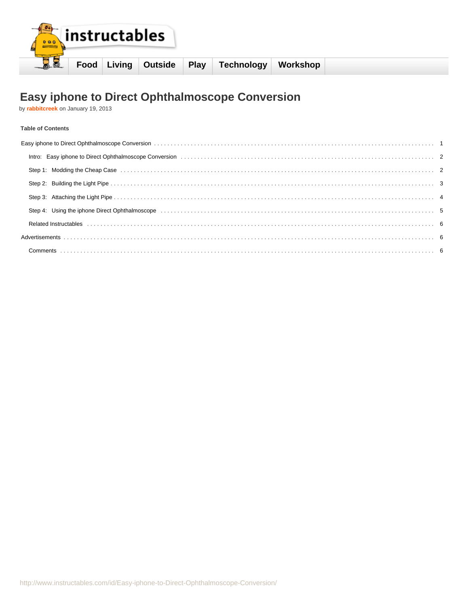

# **Easy iphone to Direct Ophthalmoscope Conversion**

by **[rabbitcreek](http://www.instructables.com/member/rabbitcreek/?utm_source=pdf&utm_campaign=title)** on January 19, 2013

#### **Table of Contents**

| Step 1: Modding the Cheap Case (all contains and contained all contains and contained all contained all contains and contained all contained all contains a contained all contains a contained all contains a contained all co |  |
|--------------------------------------------------------------------------------------------------------------------------------------------------------------------------------------------------------------------------------|--|
|                                                                                                                                                                                                                                |  |
|                                                                                                                                                                                                                                |  |
| Step 4: Using the iphone Direct Ophthalmoscope (and accordination of the content of the form of the form of the form of the form of the form of the form of the form of the form of the form of the form of the form of the fo |  |
|                                                                                                                                                                                                                                |  |
|                                                                                                                                                                                                                                |  |
|                                                                                                                                                                                                                                |  |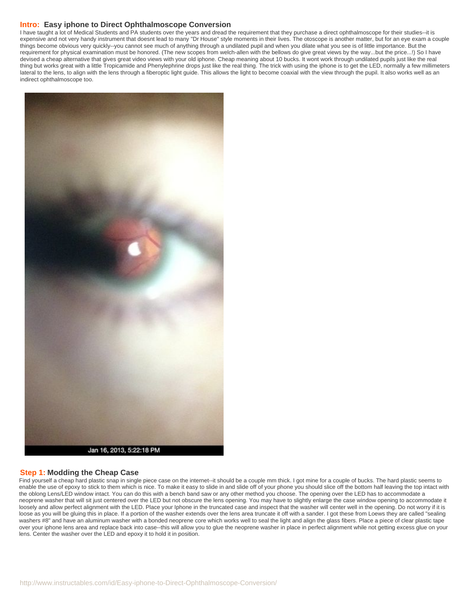#### <span id="page-1-0"></span>**Intro: Easy iphone to Direct Ophthalmoscope Conversion**

I have taught a lot of Medical Students and PA students over the years and dread the requirement that they purchase a direct ophthalmoscope for their studies--it is expensive and not very handy instrument that doesnt lead to many "Dr House" style moments in their lives. The otoscope is another matter, but for an eye exam a couple things become obvious very quickly--you cannot see much of anything through a undilated pupil and when you dilate what you see is of little importance. But the requirement for physical examination must be honored. (The new scopes from welch-allen with the bellows do give great views by the way...but the price...!) So I have devised a cheap alternative that gives great video views with your old iphone. Cheap meaning about 10 bucks. It wont work through undilated pupils just like the real thing but works great with a little Tropicamide and Phenylephrine drops just like the real thing. The trick with using the iphone is to get the LED, normally a few millimeters lateral to the lens, to align with the lens through a fiberoptic light guide. This allows the light to become coaxial with the view through the pupil. It also works well as an indirect ophthalmoscope too.



#### **Step 1: Modding the Cheap Case**

Find yourself a cheap hard plastic snap in single piece case on the internet--it should be a couple mm thick. I got mine for a couple of bucks. The hard plastic seems to enable the use of epoxy to stick to them which is nice. To make it easy to slide in and slide off of your phone you should slice off the bottom half leaving the top intact with the oblong Lens/LED window intact. You can do this with a bench band saw or any other method you choose. The opening over the LED has to accommodate a neoprene washer that will sit just centered over the LED but not obscure the lens opening. You may have to slightly enlarge the case window opening to accommodate it loosely and allow perfect alignment with the LED. Place your Iphone in the truncated case and inspect that the washer will center well in the opening. Do not worry if it is loose as you will be gluing this in place. If a portion of the washer extends over the lens area truncate it off with a sander. I got these from Loews they are called "sealing washers #8" and have an aluminum washer with a bonded neoprene core which works well to seal the light and align the glass fibers. Place a piece of clear plastic tape over your iphone lens area and replace back into case--this will allow you to glue the neoprene washer in place in perfect alignment while not getting excess glue on your lens. Center the washer over the LED and epoxy it to hold it in position.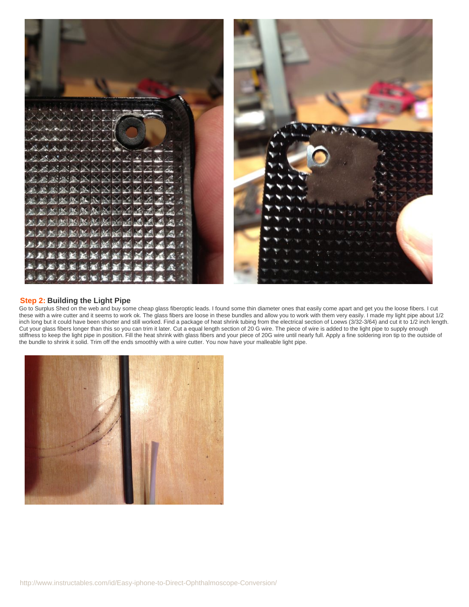<span id="page-2-0"></span>

### **Step 2: Building the Light Pipe**

Go to Surplus Shed on the web and buy some cheap glass fiberoptic leads. I found some thin diameter ones that easily come apart and get you the loose fibers. I cut these with a wire cutter and it seems to work ok. The glass fibers are loose in these bundles and allow you to work with them very easily. I made my light pipe about 1/2 inch long but it could have been shorter and still worked. Find a package of heat shrink tubing from the electrical section of Loews (3/32-3/64) and cut it to 1/2 inch length. Cut your glass fibers longer than this so you can trim it later. Cut a equal length section of 20 G wire. The piece of wire is added to the light pipe to supply enough stiffness to keep the light pipe in position. Fill the heat shrink with glass fibers and your piece of 20G wire until nearly full. Apply a fine soldering iron tip to the outside of the bundle to shrink it solid. Trim off the ends smoothly with a wire cutter. You now have your malleable light pipe.

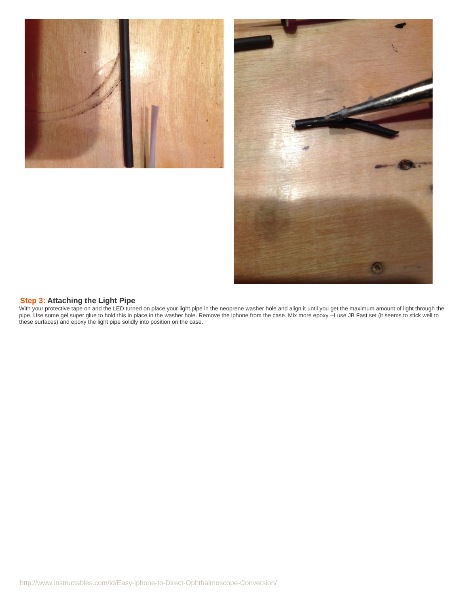<span id="page-3-0"></span>



#### **Step 3: Attaching the Light Pipe**

With your protective tape on and the LED turned on place your light pipe in the neoprene washer hole and align it until you get the maximum amount of light through the pipe. Use some gel super glue to hold this in place in the washer hole. Remove the iphone from the case. Mix more epoxy --I use JB Fast set (it seems to stick well to these surfaces) and epoxy the light pipe solidly into position on the case.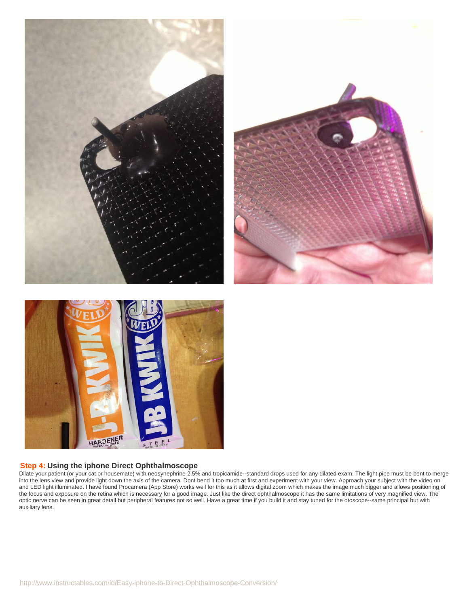<span id="page-4-0"></span>





## **Step 4: Using the iphone Direct Ophthalmoscope**

Dilate your patient (or your cat or housemate) with neosynephrine 2.5% and tropicamide--standard drops used for any dilated exam. The light pipe must be bent to merge into the lens view and provide light down the axis of the camera. Dont bend it too much at first and experiment with your view. Approach your subject with the video on and LED light illuminated. I have found Procamera (App Store) works well for this as it allows digital zoom which makes the image much bigger and allows positioning of the focus and exposure on the retina which is necessary for a good image. Just like the direct ophthalmoscope it has the same limitations of very magnified view. The optic nerve can be seen in great detail but peripheral features not so well. Have a great time if you build it and stay tuned for the otoscope--same principal but with auxiliary lens.